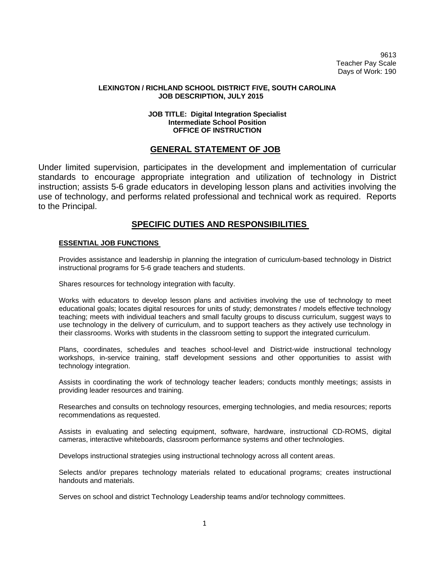9613 Teacher Pay Scale Days of Work: 190

## **LEXINGTON / RICHLAND SCHOOL DISTRICT FIVE, SOUTH CAROLINA JOB DESCRIPTION, JULY 2015**

### **JOB TITLE: Digital Integration Specialist Intermediate School Position OFFICE OF INSTRUCTION**

# **GENERAL STATEMENT OF JOB**

Under limited supervision, participates in the development and implementation of curricular standards to encourage appropriate integration and utilization of technology in District instruction; assists 5-6 grade educators in developing lesson plans and activities involving the use of technology, and performs related professional and technical work as required. Reports to the Principal.

# **SPECIFIC DUTIES AND RESPONSIBILITIES**

## **ESSENTIAL JOB FUNCTIONS**

Provides assistance and leadership in planning the integration of curriculum-based technology in District instructional programs for 5-6 grade teachers and students.

Shares resources for technology integration with faculty.

Works with educators to develop lesson plans and activities involving the use of technology to meet educational goals; locates digital resources for units of study; demonstrates / models effective technology teaching; meets with individual teachers and small faculty groups to discuss curriculum, suggest ways to use technology in the delivery of curriculum, and to support teachers as they actively use technology in their classrooms. Works with students in the classroom setting to support the integrated curriculum.

Plans, coordinates, schedules and teaches school-level and District-wide instructional technology workshops, in-service training, staff development sessions and other opportunities to assist with technology integration.

Assists in coordinating the work of technology teacher leaders; conducts monthly meetings; assists in providing leader resources and training.

Researches and consults on technology resources, emerging technologies, and media resources; reports recommendations as requested.

Assists in evaluating and selecting equipment, software, hardware, instructional CD-ROMS, digital cameras, interactive whiteboards, classroom performance systems and other technologies.

Develops instructional strategies using instructional technology across all content areas.

Selects and/or prepares technology materials related to educational programs; creates instructional handouts and materials.

Serves on school and district Technology Leadership teams and/or technology committees.